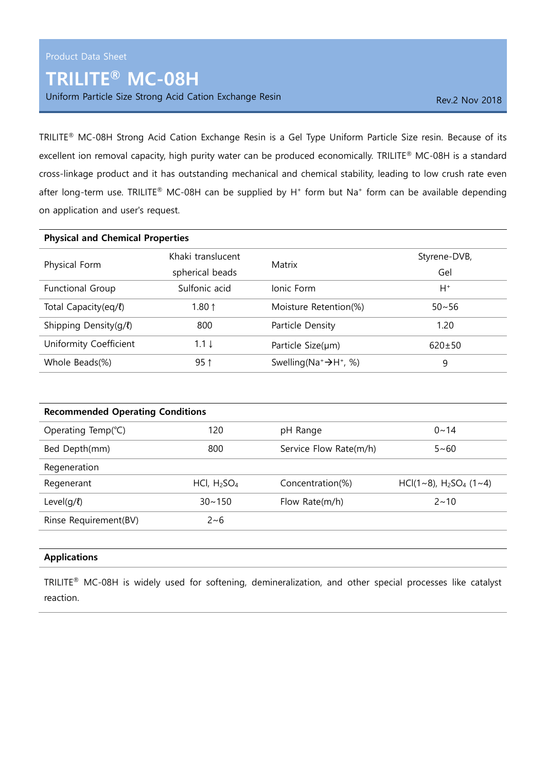## TRILITE® MC-08H

Uniform Particle Size Strong Acid Cation Exchange Resin Rev. 2 Nov 2018

TRILITE® MC-08H Strong Acid Cation Exchange Resin is a Gel Type Uniform Particle Size resin. Because of its excellent ion removal capacity, high purity water can be produced economically. TRILITE® MC-08H is a standard cross-linkage product and it has outstanding mechanical and chemical stability, leading to low crush rate even after long-term use. TRILITE® MC-08H can be supplied by  $H^+$  form but Na<sup>+</sup> form can be available depending on application and user's request.

| <b>Physical and Chemical Properties</b> |                           |                                        |              |  |
|-----------------------------------------|---------------------------|----------------------------------------|--------------|--|
| Physical Form                           | Khaki translucent         |                                        | Styrene-DVB, |  |
|                                         | Matrix<br>spherical beads | Gel                                    |              |  |
| <b>Functional Group</b>                 | Sulfonic acid             | Ionic Form                             | H+           |  |
| Total Capacity(eq/l)                    | 1.80 $1$                  | Moisture Retention(%)                  | $50 - 56$    |  |
| Shipping Density( $q/l$ )               | 800                       | Particle Density                       | 1.20         |  |
| Uniformity Coefficient                  | $1.1 \downarrow$          | Particle $Size(\mu m)$                 | $620 \pm 50$ |  |
| Whole Beads(%)                          | $95$ ↑                    | Swelling ( $Na^+ \rightarrow H^+$ , %) | 9            |  |

| <b>Recommended Operating Conditions</b> |                                     |                        |                                                   |  |
|-----------------------------------------|-------------------------------------|------------------------|---------------------------------------------------|--|
| Operating Temp( $°C$ )                  | 120                                 | pH Range               | $0 - 14$                                          |  |
| Bed Depth(mm)                           | 800                                 | Service Flow Rate(m/h) | $5 - 60$                                          |  |
| Regeneration                            |                                     |                        |                                                   |  |
| Regenerant                              | HCI, H <sub>2</sub> SO <sub>4</sub> | Concentration(%)       | $HCI(1~8)$ , H <sub>2</sub> SO <sub>4</sub> (1~4) |  |
| Level( $q/l$ )                          | $30 - 150$                          | Flow Rate(m/h)         | $2 \sim 10$                                       |  |
| Rinse Requirement(BV)                   | $2 - 6$                             |                        |                                                   |  |
|                                         |                                     |                        |                                                   |  |

## Applications

TRILITE® MC-08H is widely used for softening, demineralization, and other special processes like catalyst reaction.